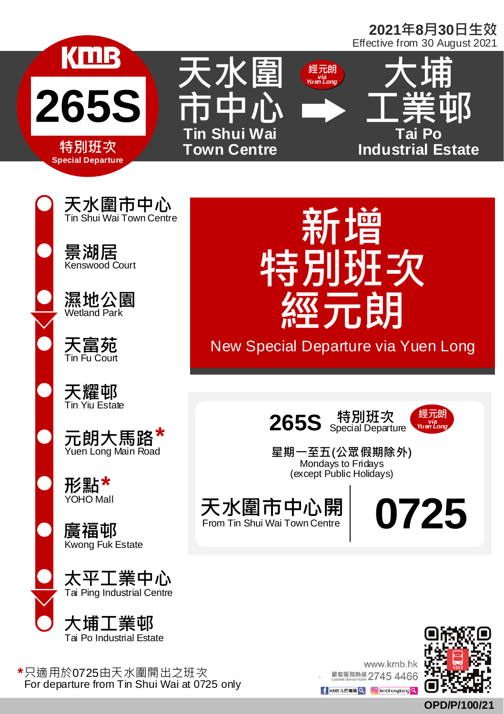## **2021年8月30日生效** Effective from 30 August 2021









**天水圍市中心**

**天富苑** Tin Fu Court

**天耀邨** Tin Yiu Estate

**元朗大馬路** 元朗大馬路<sup>\*</sup><br><sub>Yuen Long Main Road</sub>

**形點 \*\*\*\*\*\***<br>YOHO Mall

**廣福邨** Kwong Fuk Estate

**太平工業中心** Tai Ping Industrial Centre



**\*** 只適用於0725由天水圍開出之班次 For departure from Tin Shui Wai at 0725 only



New Special Departure via Yuen Long





**星期一至五(公眾假期除外)** Mondays to Fridays (except Public Holidays)

天水圍市中心開 From Tin Shui Wai Town Centre

**0725**



www.kmb.hk 願客服務熱線 2745 4466